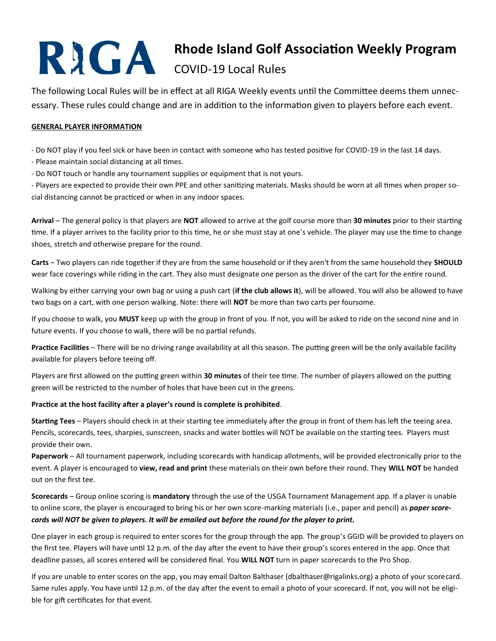# **Rhode Island Golf Association Weekly Program**

## COVID-19 Local Rules

The following Local Rules will be in effect at all RIGA Weekly events until the Committee deems them unnecessary. These rules could change and are in addition to the information given to players before each event.

#### **GENERAL PLAYER INFORMATION**

- Do NOT play if you feel sick or have been in contact with someone who has tested positive for COVID-19 in the last 14 days.

- Please maintain social distancing at all times.
- Do NOT touch or handle any tournament supplies or equipment that is not yours.

- Players are expected to provide their own PPE and other sanitizing materials. Masks should be worn at all times when proper social distancing cannot be practiced or when in any indoor spaces.

**Arrival** – The general policy is that players are **NOT** allowed to arrive at the golf course more than **30 minutes** prior to their starting time. If a player arrives to the facility prior to this time, he or she must stay at one's vehicle. The player may use the time to change shoes, stretch and otherwise prepare for the round.

**Carts** – Two players can ride together if they are from the same household or if they aren't from the same household they **SHOULD**  wear face coverings while riding in the cart. They also must designate one person as the driver of the cart for the entire round.

Walking by either carrying your own bag or using a push cart (**if the club allows it**), will be allowed. You will also be allowed to have two bags on a cart, with one person walking. Note: there will **NOT** be more than two carts per foursome.

If you choose to walk, you **MUST** keep up with the group in front of you. If not, you will be asked to ride on the second nine and in future events. If you choose to walk, there will be no partial refunds.

**Practice Facilities** – There will be no driving range availability at all this season. The putting green will be the only available facility available for players before teeing off.

Players are first allowed on the putting green within **30 minutes** of their tee time. The number of players allowed on the putting green will be restricted to the number of holes that have been cut in the greens.

#### **Practice at the host facility after a player's round is complete is prohibited**.

**Starting Tees** – Players should check in at their starting tee immediately after the group in front of them has left the teeing area. Pencils, scorecards, tees, sharpies, sunscreen, snacks and water bottles will NOT be available on the starting tees. Players must provide their own.

**Paperwork** – All tournament paperwork, including scorecards with handicap allotments, will be provided electronically prior to the event. A player is encouraged to **view, read and print** these materials on their own before their round. They **WILL NOT** be handed out on the first tee.

**Scorecards** – Group online scoring is **mandatory** through the use of the USGA Tournament Management app. If a player is unable to online score, the player is encouraged to bring his or her own score-marking materials (i.e., paper and pencil) as *paper scorecards will NOT be given to players. It will be emailed out before the round for the player to print.*

One player in each group is required to enter scores for the group through the app. The group's GGID will be provided to players on the first tee. Players will have until 12 p.m. of the day after the event to have their group's scores entered in the app. Once that deadline passes, all scores entered will be considered final. You **WILL NOT** turn in paper scorecards to the Pro Shop.

If you are unable to enter scores on the app, you may email Dalton Balthaser (dbalthaser@rigalinks.org) a photo of your scorecard. Same rules apply. You have until 12 p.m. of the day after the event to email a photo of your scorecard. If not, you will not be eligible for gift certificates for that event.